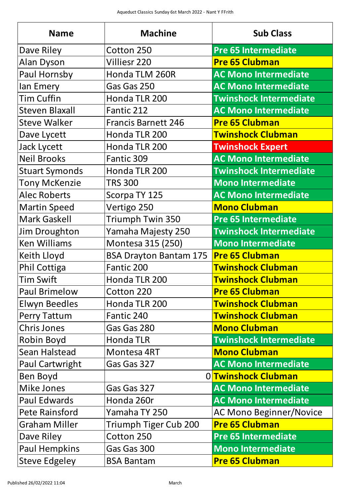| <b>Name</b>            | <b>Machine</b>                        | <b>Sub Class</b>               |
|------------------------|---------------------------------------|--------------------------------|
| Dave Riley             | Cotton 250                            | <b>Pre 65 Intermediate</b>     |
| <b>Alan Dyson</b>      | <b>Villiesr 220</b>                   | <b>Pre 65 Clubman</b>          |
| Paul Hornsby           | Honda TLM 260R                        | <b>AC Mono Intermediate</b>    |
| lan Emery              | Gas Gas 250                           | <b>AC Mono Intermediate</b>    |
| <b>Tim Cuffin</b>      | Honda TLR 200                         | <b>Twinshock Intermediate</b>  |
| <b>Steven Blaxall</b>  | Fantic 212                            | <b>AC Mono Intermediate</b>    |
| <b>Steve Walker</b>    | <b>Francis Barnett 246</b>            | <b>Pre 65 Clubman</b>          |
| Dave Lycett            | Honda TLR 200                         | <b>Twinshock Clubman</b>       |
| <b>Jack Lycett</b>     | Honda TLR 200                         | <b>Twinshock Expert</b>        |
| <b>Neil Brooks</b>     | Fantic 309                            | <b>AC Mono Intermediate</b>    |
| <b>Stuart Symonds</b>  | Honda TLR 200                         | <b>Twinshock Intermediate</b>  |
| <b>Tony McKenzie</b>   | <b>TRS 300</b>                        | <b>Mono Intermediate</b>       |
| <b>Alec Roberts</b>    | Scorpa TY 125                         | <b>AC Mono Intermediate</b>    |
| Martin Speed           | Vertigo 250                           | <b>Mono Clubman</b>            |
| <b>Mark Gaskell</b>    | <b>Triumph Twin 350</b>               | <b>Pre 65 Intermediate</b>     |
| Jim Droughton          | Yamaha Majesty 250                    | <b>Twinshock Intermediate</b>  |
| <b>Ken Williams</b>    | Montesa 315 (250)                     | <b>Mono Intermediate</b>       |
| <b>Keith Lloyd</b>     | BSA Drayton Bantam 175 Pre 65 Clubman |                                |
| <b>Phil Cottiga</b>    | Fantic 200                            | <b>Twinshock Clubman</b>       |
| <b>Tim Swift</b>       | Honda TLR 200                         | <b>Twinshock Clubman</b>       |
| <b>Paul Brimelow</b>   | Cotton 220                            | <b>Pre 65 Clubman</b>          |
| <b>Elwyn Beedles</b>   | Honda TLR 200                         | <b>Twinshock Clubman</b>       |
| <b>Perry Tattum</b>    | Fantic 240                            | <b>Twinshock Clubman</b>       |
| <b>Chris Jones</b>     | Gas Gas 280                           | <b>Mono Clubman</b>            |
| <b>Robin Boyd</b>      | <b>Honda TLR</b>                      | <b>Twinshock Intermediate</b>  |
| <b>Sean Halstead</b>   | Montesa 4RT                           | <b>Mono Clubman</b>            |
| <b>Paul Cartwright</b> | Gas Gas 327                           | <b>AC Mono Intermediate</b>    |
| <b>Ben Boyd</b>        |                                       | 0 Twinshock Clubman            |
| <b>Mike Jones</b>      | Gas Gas 327                           | <b>AC Mono Intermediate</b>    |
| <b>Paul Edwards</b>    | Honda 260r                            | <b>AC Mono Intermediate</b>    |
| <b>Pete Rainsford</b>  | Yamaha TY 250                         | <b>AC Mono Beginner/Novice</b> |
| <b>Graham Miller</b>   | Triumph Tiger Cub 200                 | <b>Pre 65 Clubman</b>          |
| Dave Riley             | Cotton 250                            | <b>Pre 65 Intermediate</b>     |
| <b>Paul Hempkins</b>   | Gas Gas 300                           | <b>Mono Intermediate</b>       |
| <b>Steve Edgeley</b>   | <b>BSA Bantam</b>                     | <b>Pre 65 Clubman</b>          |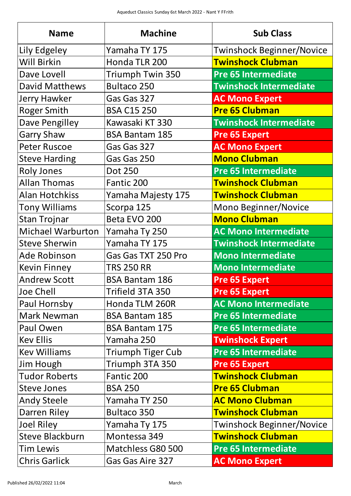| <b>Name</b>              | <b>Machine</b>           | <b>Sub Class</b>                 |
|--------------------------|--------------------------|----------------------------------|
| Lily Edgeley             | Yamaha TY 175            | <b>Twinshock Beginner/Novice</b> |
| <b>Will Birkin</b>       | Honda TLR 200            | <b>Twinshock Clubman</b>         |
| Dave Lovell              | <b>Triumph Twin 350</b>  | <b>Pre 65 Intermediate</b>       |
| <b>David Matthews</b>    | <b>Bultaco 250</b>       | <b>Twinshock Intermediate</b>    |
| <b>Jerry Hawker</b>      | Gas Gas 327              | <b>AC Mono Expert</b>            |
| <b>Roger Smith</b>       | <b>BSA C15 250</b>       | <b>Pre 65 Clubman</b>            |
| <b>Dave Pengilley</b>    | Kawasaki KT 330          | <b>Twinshock Intermediate</b>    |
| <b>Garry Shaw</b>        | <b>BSA Bantam 185</b>    | <b>Pre 65 Expert</b>             |
| <b>Peter Ruscoe</b>      | Gas Gas 327              | <b>AC Mono Expert</b>            |
| <b>Steve Harding</b>     | Gas Gas 250              | <b>Mono Clubman</b>              |
| <b>Roly Jones</b>        | <b>Dot 250</b>           | Pre 65 Intermediate              |
| <b>Allan Thomas</b>      | Fantic 200               | <b>Twinshock Clubman</b>         |
| <b>Alan Hotchkiss</b>    | Yamaha Majesty 175       | <b>Twinshock Clubman</b>         |
| <b>Tony Williams</b>     | Scorpa 125               | <b>Mono Beginner/Novice</b>      |
| <b>Stan Trojnar</b>      | Beta EVO 200             | <b>Mono Clubman</b>              |
| <b>Michael Warburton</b> | Yamaha Ty 250            | <b>AC Mono Intermediate</b>      |
| <b>Steve Sherwin</b>     | Yamaha TY 175            | <b>Twinshock Intermediate</b>    |
| Ade Robinson             | Gas Gas TXT 250 Pro      | <b>Mono Intermediate</b>         |
| <b>Kevin Finney</b>      | <b>TRS 250 RR</b>        | <b>Mono Intermediate</b>         |
| <b>Andrew Scott</b>      | <b>BSA Bantam 186</b>    | <b>Pre 65 Expert</b>             |
| <b>Joe Chell</b>         | Trifield 3TA 350         | <b>Pre 65 Expert</b>             |
| Paul Hornsby             | Honda TLM 260R           | <b>AC Mono Intermediate</b>      |
| <b>Mark Newman</b>       | <b>BSA Bantam 185</b>    | <b>Pre 65 Intermediate</b>       |
| Paul Owen                | <b>BSA Bantam 175</b>    | <b>Pre 65 Intermediate</b>       |
| <b>Kev Ellis</b>         | Yamaha 250               | <b>Twinshock Expert</b>          |
| <b>Kev Williams</b>      | <b>Triumph Tiger Cub</b> | <b>Pre 65 Intermediate</b>       |
| <b>Jim Hough</b>         | Triumph 3TA 350          | <b>Pre 65 Expert</b>             |
| <b>Tudor Roberts</b>     | Fantic 200               | <b>Twinshock Clubman</b>         |
| <b>Steve Jones</b>       | <b>BSA 250</b>           | <b>Pre 65 Clubman</b>            |
| <b>Andy Steele</b>       | Yamaha TY 250            | <b>AC Mono Clubman</b>           |
| Darren Riley             | <b>Bultaco 350</b>       | <b>Twinshock Clubman</b>         |
| <b>Joel Riley</b>        | Yamaha Ty 175            | <b>Twinshock Beginner/Novice</b> |
| <b>Steve Blackburn</b>   | Montessa 349             | <b>Twinshock Clubman</b>         |
| <b>Tim Lewis</b>         | Matchless G80 500        | <b>Pre 65 Intermediate</b>       |
| <b>Chris Garlick</b>     | <b>Gas Gas Aire 327</b>  | <b>AC Mono Expert</b>            |